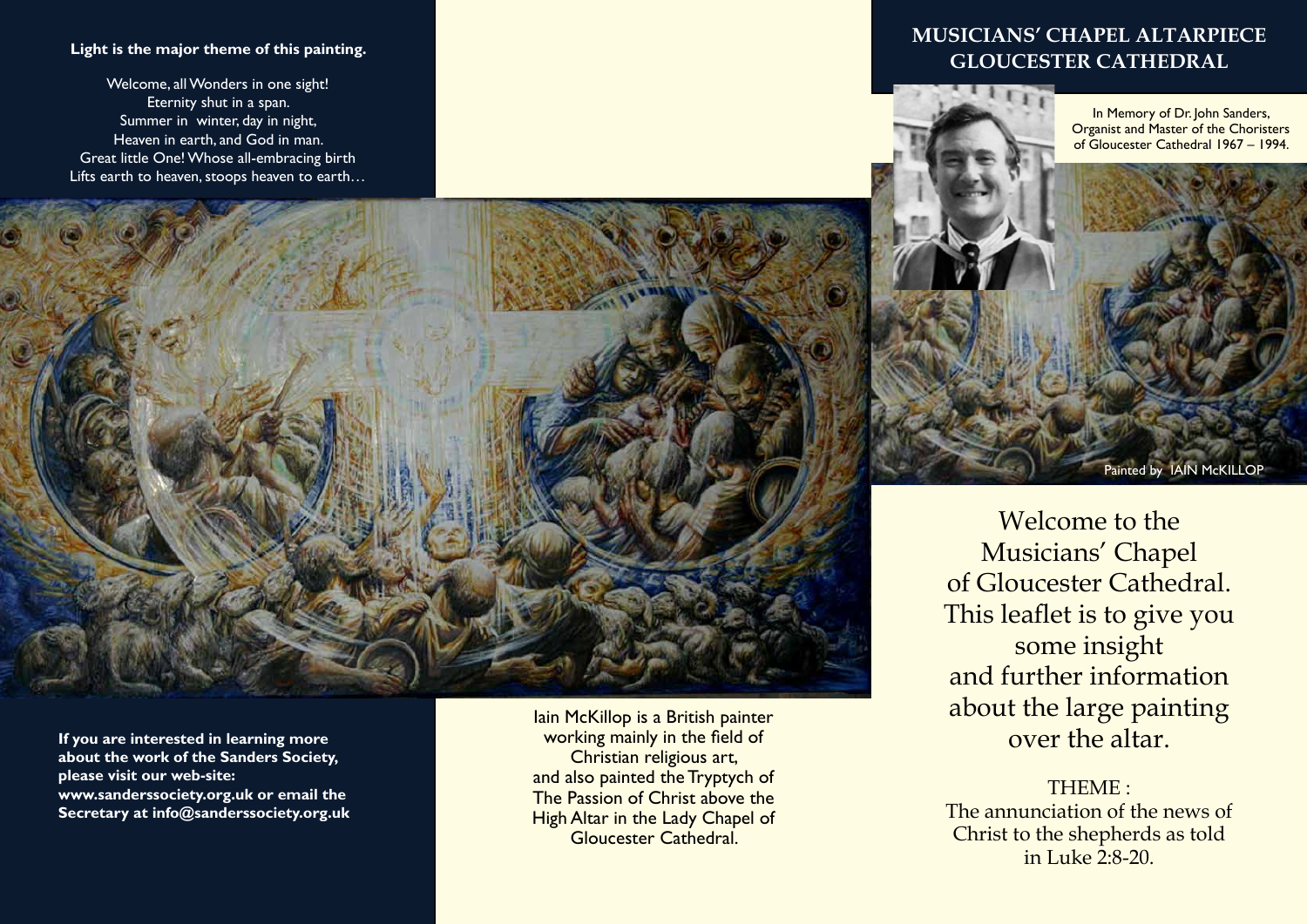## **Light is the major theme of this painting.**

Welcome, all Wonders in one sight! Eternity shut in a span. Summer in winter, day in night, Heaven in earth, and God in man. Great little One! Whose all-embracing birth Lifts earth to heaven, stoops heaven to earth…

# **MUSICIANS' CHAPEL ALTARPIECE GLOUCESTER CATHEDRAL**

In Memory of Dr. John Sanders, Organist and Master of the Choristers of Gloucester Cathedral 1967 – 1994.

Painted by **JAIN McKILLOP** 

Welcome to the Musicians' Chapel of Gloucester Cathedral. This leaflet is to give you some insight and further information about the large painting over the altar.

THEME : The annunciation of the news of Christ to the shepherds as told in Luke  $2.8 - 20$ .

**If you are interested in learning more about the work of the Sanders Society, please visit our web-site: www.sanderssociety.org.uk or email the Secretary at info@sanderssociety.org.uk** Iain McKillop is a British painter working mainly in the field of Christian religious art, and also painted the Tryptych of The Passion of Christ above the High Altar in the Lady Chapel of Gloucester Cathedral.